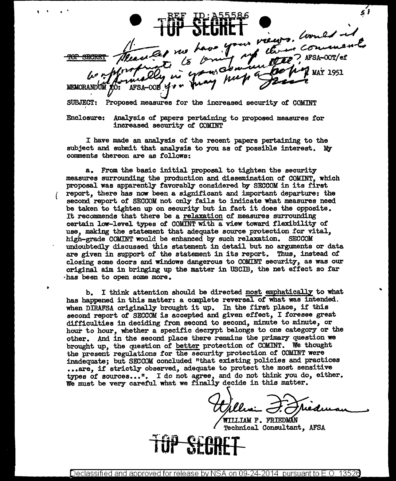ieurs. Would no  $\epsilon$ o <del>TOP SECRE</del> **MAY 1951** MEMORANDUM

SUBJECT: Proposed measures for the increased security of COMINT

' .

Enclosure: Analysis of papers pertaining to proposed measures for increased security or COMINT

I have made an analysis of the recent papers pertaining to the subject and submit that analysis to you as of possible interest. My comments thereon are as follows:

a. From the basic initial proposal to tighten the security measures surrounding the production and dissemination of COMINT, which proposal was apparently favorably considered by SECCOM in its first report, there has now been a significant and important departure: the second report of SECCOM not only fails to indicate what measures need be taken to tighten up on security but in fact it does the opposite. It recommends that there be a relaxation of measures surrounding certain low-level types of COMINT with a view toward flexibility of use, making the statement that adequate source protection for vital, high-grade COMINT would be enhanced by such relaxation. SECCOM undoubtedly discussed this statement in detail but no arguments or data are given in support of the statement in its report. Thus, instead of closing some doors and windows dangerous to COMINT security, as was our original aim in bringing up the matter in USCIB, the net effect so far ·has been to open some more.

b. I think attention should be directed most emphatically to what has happened in this matter: a canplete reversal of what was intended. when DIRAFSA originally brought it up. In the first place, if this second report of SECCOM is accepted and given effect, I foresee great difficulties in deciding from second to second, minute to minute, or hour to hour, whether a specific decrypt belongs to one category or the other. And in the second place there remains the primary question we brought up, the question of better protection of COMINT. We thought the present regulations for the security protection of COMINT were inadequate; but SECCOM concluded "that existing policies and practices ... are, if strictly observed, adequate to protect the most sensitive types of sources...". I do not agree, and do not think you do, either. We must be very careful what we finally decide in this matter.

William F. Friedman

Technical Consultant, AFSA

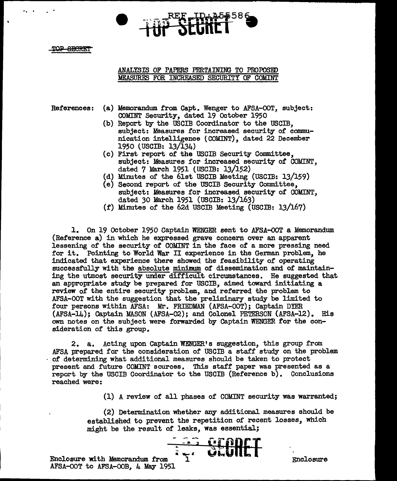...

# ANALYSIS OF PAPERS PERTAINING TO PROPOSED MEASURES FOR INCREASED SECURITY OF COMINT

- References: (a) Memorandum from Capt. Wenger to AFSA-OOT, subject: COMINT Security, dated 19 October 1950
	- (b) Report by the USCIB Coordinator to the USCIB, subject: Measures for increased security of communication intelligence (COMINT), dated 22 December 1950 {USCIB: 13/134)
	- (c) First report of' the USCIB Security Committee, subject: Measures for increased security of COMINT, dated 7 March 1951 {USCIB: 13/152)
	- (d) Minutes of the 6lst USCIB Meeting (USCIB: 13/159)
	- (e) Second. report of' the USCIB Security Committee, subject: Measures for increased security of COMINT, dated *30* March 1951 (USCIB: 13/163)
	- (f') Minutes of' the 62d USCIB Meeting (USCIB: 13/167)

1. On 19 October 1950 Captain WENGER sent to AFSA-OOT a Memorandum (Reference a) in which he expressed grave concern over an apparent lessening of' the security of' COMINT in the face of a more pressing need for it. Pointing to World War II experience in the German problem., he indicated that experience there showed the feasibility of operating successfully with the absolute minimum of dissemination and of maintaining the utmost security umer difficult circumstances. He suggested that an appropriate study be prepared for USCIB, aimed toward initiating a review of the entire security problem, and referred the problem to AFSA-OOT with the suggestion that the preliminary study be limited to four persons within AFSA: Mr. FRIEDMAN (AFSA-OOT); Captain DIER (AFSA-14); Captain MASON {AFSA-02); and. Colonel PETERSON (AFSA-12). His own notes on the subject were forwarded by Captain WENGER tor the consideration of this group.

2. a. Acting upon Captain WENGER' s suggestion, this group from AFSA prepared for the consideration of USCIB a staff study on the problem of determining what additional measures should be taken to protect present and future COlllNT sources. This staff paper was presented as a report by the USCIB Coordinator to the USCIB (Reference b). Conclusions reached were:

(1) A review of all phases of COMINT security was warranted;

(2) Determination whether any additional measures should be established to prevent the repetition of recent losses, which might be the result of leaks, was essential;



Enclosure with Memorandum from AFSA-OOT to AFSA-OOB, 4 May 1951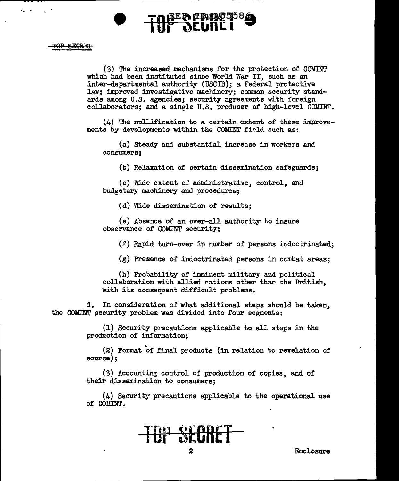

. . .

(3) 'Ihe increased mechanisms for the protection of COMINT which had been instituted since World War II, such as an inter-departmental authority (USCIB); a Federal protective law; improved investigative machinery; common security standards among U.S. agencies; security agreements with foreign collaborators; and a single U.S. producer of high-level COMINT.

 $(4)$  The nullification to a certain extent of these improvements by developments within the COMINT field such as:

(a) Steady and substantial increase in workers and consumers;

(b) Relaxation of certain dissemination safeguards;

(c) Wide extent of administrative, control, and budgetary machinery and procedures;

( d) Vlide dissemination of results;

(e) Absence of an over-all authority to insure observance of COMINT security;

{f) Rapid turn-over in number of persons indoctrinated;

(g) Presence of indoctrinated persons in combat areas;

(h) Probability or imminent military and political collaboration with allied nations other than the British, with its consequent difficult problems.

d. In consideration of what additional steps should be taken, the COMINT security problem was divided into four segments:

> (1) Security precautions applicable to all steps in the production of information;

 $(2)$  Format of final products (in relation to revelation of source);

(3) Accounting control of production of copies, and of their dissemination to consumers;

(4) Security precautions applicable to the operational use of COMINT.

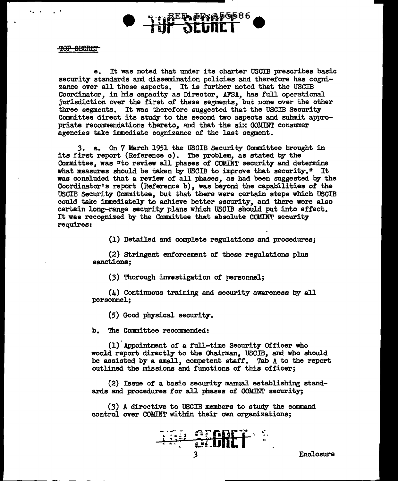

### TOP OBCRET

 $\overline{\cdot}$  .

e. It was noted that under its charter USCIB prescribes basic security standards and dissemination policies and therefore has cognizance over all these aspects. It is further noted that the USCIB Coordinator, in his capacity as Director, AFSA, has full operational jurisdiction over the first of these segments, but none over the other three segments. It was therefore suggested that the USCIB Security Committee direct its study to the second two aspects and submit appropriate recommendations thereto, and that the six COUINT consumer agencies take immediate cognizance of the last segment.

3. a. On 7 March 1951 the USCIB Security Committee brought in its first report (Reference c). The problem., as stated by the Committee, was "to review all phases of COMINT security and determine what measures should be taken by USCIB to improve that security." It was concluded that a review of all phases, as had been suggested by the Coordinator's report (Reference b), was beyond the capabilities of the USCIB Security Committee, but that there were certain steps which USCIB could take immediately to achieve better security, and there were also certain long-range security plans which USCIB should put into effect. It was recognized by the Committee that absolute COMINT security requires:

(1) Detailed and complete regulations and procedures;

(2) Stringent enforcement of' these regulations plus sanctions;

(3) Thorough investigation of personnel;

(4) Continuous training and security awareness by all personnel:

(5) Good physical security.

b. The Committee recommended:

(!)Appointment of a full-time Security Officer who would report directly to the Chairman, USCIB, and who should be assisted by a small, competent staff. Tab A to the report outlined the missions and functions of this officer;

(2) Issue of a basic security manual establishing standards and procedures for all phases of COMINT security;

(3) A directive to USCIB members to study the command control over COMINT within their own organizations;

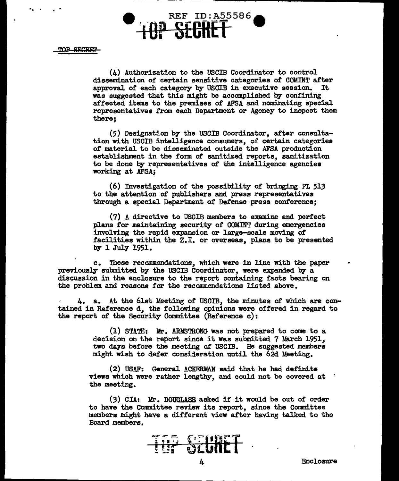

(4) Authorization to the USCIB Coordinator to control dissemination of certain sensitive categories of COMINT after<br>approval of each category by USCIB in executive session. It approval of each category by USCIB in executive session. was suggested that this might be accomplished by confining affected items to the premises of AFSA and nominating special representatives from each Department or Agency to inspect them there;

(5) Designation by the USCIB Coordinator, after consultation with USCIB intelligence consumers, of certain categories *ot* material to be disseminated outside the AFSA production establishment in the form. of sanitized reports, sanitization to be done by representatives of the intelligence agencies working at AFSA;

(6) Investigation of the possibility of bringing PL 513 to the attention of pub1ishers and press representatives through a special Department *ot* Defense press conference;

(7) A directive to USCIB members to examine and perfect plans for maintaining security of COMINT during emergencies involving the rapid expansion or large-scale moving *ot*  facilities within the Z.I. or overseas, plans to be presented by 1 July 1951.

c. These recommendations, which were in line with the paper previously submitted by the USCIB Coordinator, were expanded by a discussion in the enclosure to the report containing facts bearing on the problem and reasons for the recommendations listed above.

4. a. At the 6lst Meeting *ot* USCIB, the minutes of which are contained in Reference d, the following opinions were ottered in regard to the report of the Security Committee (Reference c):

> (1) STATE: Mr. ARMSTRONG was not prepared to come to a decision on the report since it was submitted 7 March 1951, two days before the meeting of USCIB. He suggested members might wish to deter consideration until the 62d Meeting.

(2) USAF: General ACKEBllAN said that he had definite views which were rather lengthy, and could not be covered at ' the meeting.

(3) CIA: Mr. DOUGLASS asked if it would be out of order to have the Committee review its report, since the Committee members might have a different view after having talked to the Board members.

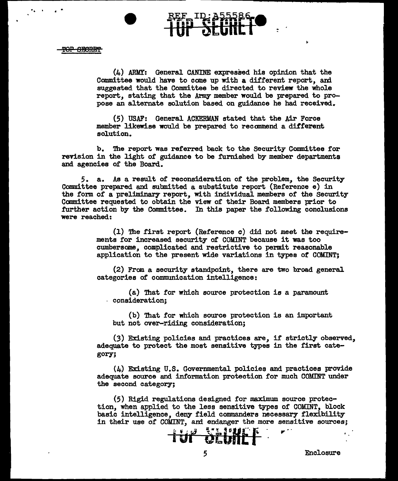$\overline{\phantom{a}}$ .

(4) ARMY: General CANINE expressed his opinion that the Committee would have to come up with a different report, and suggested that the Committee be directed to review the whole report, stating that the Army member would be prepared to propose an alternate solution based on guidance he had received.

(5) USAF: General ACKERMAN stated that the Air Force member likewise would be prepared to recommend a different solution.

b. The report was referred back to the Security Committee for revision in the light of guidance to be furnished by member departments and agencies of the Board.

*5.* a. As a result of reconsideration of the problem, the Security Committee prepared and submitted a substitute report (Reference e) in the form of a preliminary report, with individual members of the Security Committee requested to obtain the view of their Board members prior to .further action by the Committee. In this paper the following conclusions were reached:

> (1) The first report (Reference c) did not meet the requirements tor increased security of COMINT because it was too cumbersome, complicated and restrictive to permit reasonable application to the present wide variations in types or COMINT;

(2) From a security standpoint, there are two broad general categories of communication intelligence:

(a) 'Ihat for which source protection is a paramount consideration;

(b) That for which source protection is an important but not over-riding consideration;

(3) Existing policies and practices are, it strictly observed, adequate to protect the most sensitive types in the first category;

(4) Existing U.S. Governmental policies and practices provide adequate source and information protection for much COMINT under the second category;

(5) Rigid regulations designed tor maximum source protection, when applied to the less sensitive types of COMINT, block basic intelligence, deny field commanders necessary flexibility in their use of COMINT, and endanger the more sensitive sources;

<u>1 ur Stuilf</u>